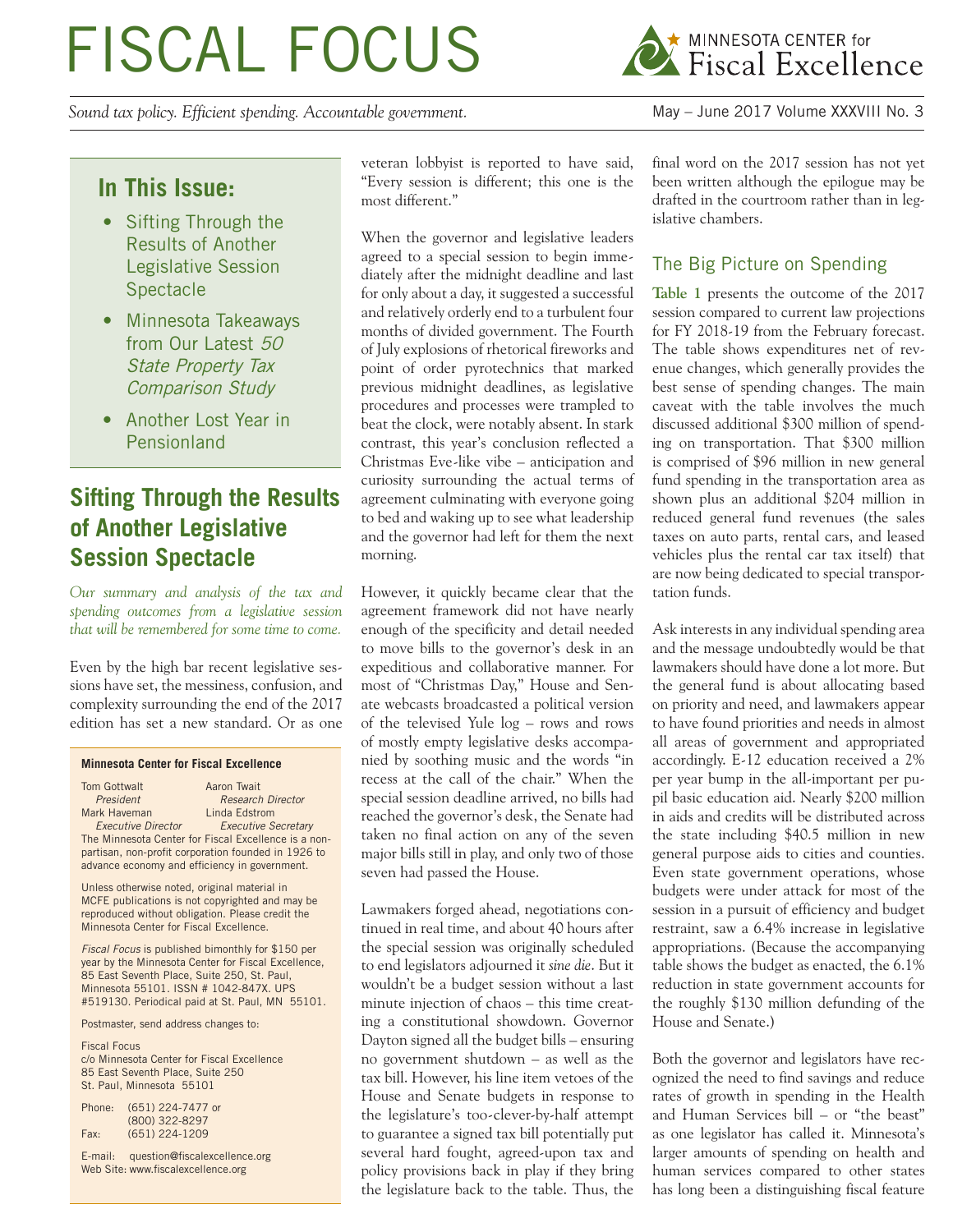# FISCAL FOCUS

*Sound tax policy. Efficient spending. Accountable government.* May – June 2017 Volume XXXVIII No. 3



## **In This Issue:**

- Sifting Through the Results of Another Legislative Session **Spectacle**
- Minnesota Takeaways from Our Latest 50 State Property Tax Comparison Study
- Another Lost Year in Pensionland

# **Sifting Through the Results of Another Legislative Session Spectacle**

*Our summary and analysis of the tax and spending outcomes from a legislative session that will be remembered for some time to come.*

Even by the high bar recent legislative sessions have set, the messiness, confusion, and complexity surrounding the end of the 2017 edition has set a new standard. Or as one

#### **Minnesota Center for Fiscal Excellence**

| <b>Tom Gottwalt</b>                                 | Aaron Twait                                          |  |  |  |  |
|-----------------------------------------------------|------------------------------------------------------|--|--|--|--|
| President                                           | <b>Research Director</b>                             |  |  |  |  |
| Mark Haveman                                        | Linda Edstrom                                        |  |  |  |  |
| <b>Executive Director</b>                           | <b>Executive Secretary</b>                           |  |  |  |  |
|                                                     | The Minnesota Center for Fiscal Excellence is a non- |  |  |  |  |
| partisan, non-profit corporation founded in 1926 to |                                                      |  |  |  |  |
| advance economy and efficiency in government.       |                                                      |  |  |  |  |

Unless otherwise noted, original material in MCFE publications is not copyrighted and may be reproduced without obligation. Please credit the Minnesota Center for Fiscal Excellence.

*Fiscal Focus* is published bimonthly for \$150 per year by the Minnesota Center for Fiscal Excellence, 85 East Seventh Place, Suite 250, St. Paul, Minnesota 55101. ISSN # 1042-847X. UPS #519130. Periodical paid at St. Paul, MN 55101.

Postmaster, send address changes to:

Fiscal Focus c/o Minnesota Center for Fiscal Excellence 85 East Seventh Place, Suite 250 St. Paul, Minnesota 55101

| Phone: | (651) 224-7477 or |
|--------|-------------------|
|        | (800) 322-8297    |
| Fax:   | $(651)$ 224-1209  |

E-mail: question@fiscalexcellence.org Web Site: www.fiscalexcellence.org

veteran lobbyist is reported to have said, "Every session is different; this one is the most different."

When the governor and legislative leaders agreed to a special session to begin immediately after the midnight deadline and last for only about a day, it suggested a successful and relatively orderly end to a turbulent four months of divided government. The Fourth of July explosions of rhetorical fireworks and point of order pyrotechnics that marked previous midnight deadlines, as legislative procedures and processes were trampled to beat the clock, were notably absent. In stark contrast, this year's conclusion reflected a Christmas Eve-like vibe – anticipation and curiosity surrounding the actual terms of agreement culminating with everyone going to bed and waking up to see what leadership and the governor had left for them the next morning.

However, it quickly became clear that the agreement framework did not have nearly enough of the specificity and detail needed to move bills to the governor's desk in an expeditious and collaborative manner. For most of "Christmas Day," House and Senate webcasts broadcasted a political version of the televised Yule log – rows and rows of mostly empty legislative desks accompanied by soothing music and the words "in recess at the call of the chair." When the special session deadline arrived, no bills had reached the governor's desk, the Senate had taken no final action on any of the seven major bills still in play, and only two of those seven had passed the House.

Lawmakers forged ahead, negotiations continued in real time, and about 40 hours after the special session was originally scheduled to end legislators adjourned it *sine die*. But it wouldn't be a budget session without a last minute injection of chaos – this time creating a constitutional showdown. Governor Dayton signed all the budget bills – ensuring no government shutdown – as well as the tax bill. However, his line item vetoes of the House and Senate budgets in response to the legislature's too-clever-by-half attempt to guarantee a signed tax bill potentially put several hard fought, agreed-upon tax and policy provisions back in play if they bring the legislature back to the table. Thus, the final word on the 2017 session has not yet been written although the epilogue may be drafted in the courtroom rather than in legislative chambers.

#### The Big Picture on Spending

**Table 1** presents the outcome of the 2017 session compared to current law projections for FY 2018-19 from the February forecast. The table shows expenditures net of revenue changes, which generally provides the best sense of spending changes. The main caveat with the table involves the much discussed additional \$300 million of spending on transportation. That \$300 million is comprised of \$96 million in new general fund spending in the transportation area as shown plus an additional \$204 million in reduced general fund revenues (the sales taxes on auto parts, rental cars, and leased vehicles plus the rental car tax itself) that are now being dedicated to special transportation funds.

Ask interests in any individual spending area and the message undoubtedly would be that lawmakers should have done a lot more. But the general fund is about allocating based on priority and need, and lawmakers appear to have found priorities and needs in almost all areas of government and appropriated accordingly. E-12 education received a 2% per year bump in the all-important per pupil basic education aid. Nearly \$200 million in aids and credits will be distributed across the state including \$40.5 million in new general purpose aids to cities and counties. Even state government operations, whose budgets were under attack for most of the session in a pursuit of efficiency and budget restraint, saw a 6.4% increase in legislative appropriations. (Because the accompanying table shows the budget as enacted, the 6.1% reduction in state government accounts for the roughly \$130 million defunding of the House and Senate.)

Both the governor and legislators have recognized the need to find savings and reduce rates of growth in spending in the Health and Human Services bill – or "the beast" as one legislator has called it. Minnesota's larger amounts of spending on health and human services compared to other states has long been a distinguishing fiscal feature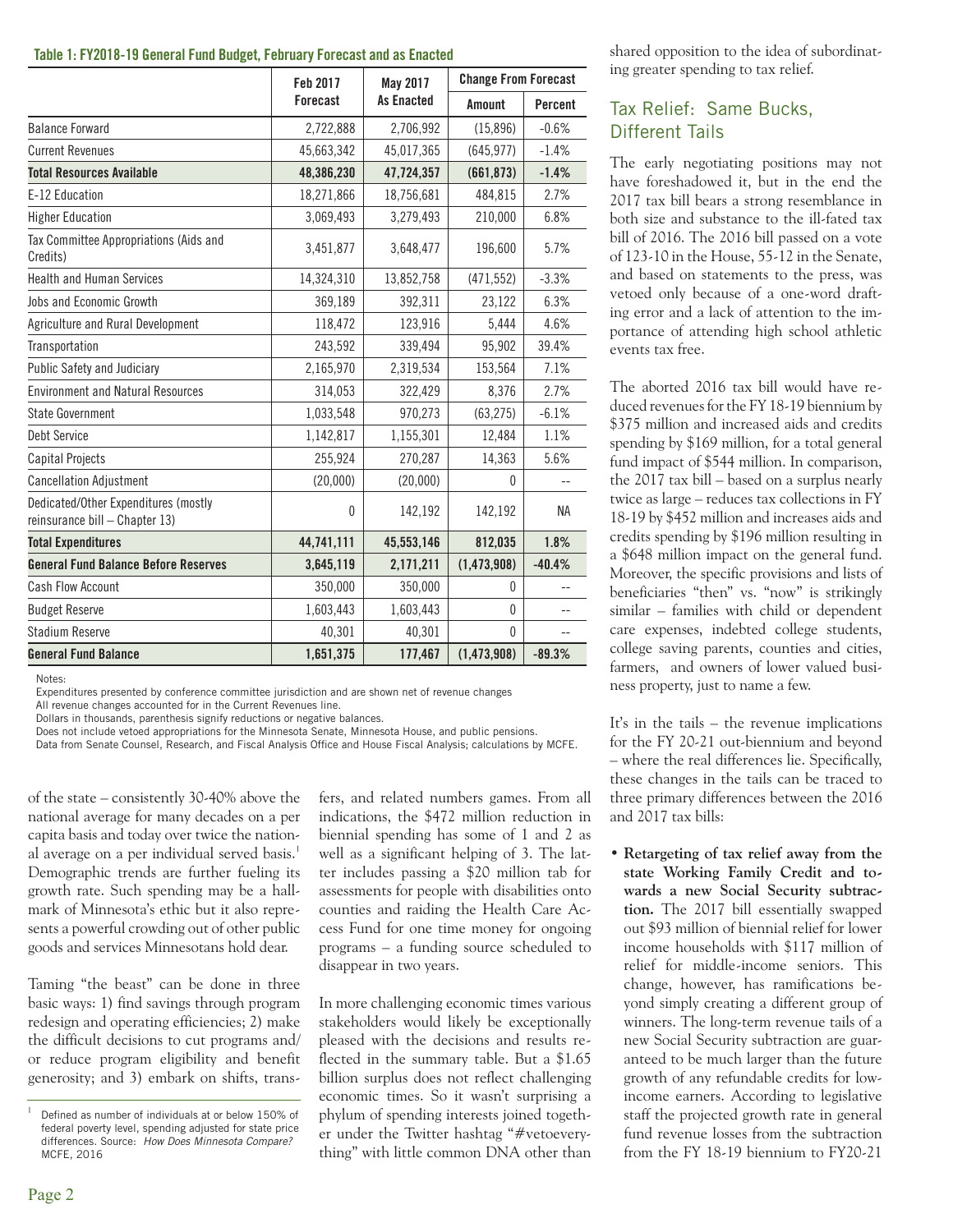#### **Table 1: FY2018-19 General Fund Budget, February Forecast and as Enacted**

|                                                                        | Feb 2017        | May 2017          | <b>Change From Forecast</b> |           |  |
|------------------------------------------------------------------------|-----------------|-------------------|-----------------------------|-----------|--|
|                                                                        | <b>Forecast</b> | <b>As Enacted</b> | Amount                      | Percent   |  |
| <b>Balance Forward</b>                                                 | 2,722,888       | 2,706,992         | (15,896)                    | $-0.6%$   |  |
| <b>Current Revenues</b>                                                | 45,663,342      | 45,017,365        | (645, 977)                  | $-1.4%$   |  |
| <b>Total Resources Available</b>                                       | 48,386,230      | 47,724,357        | (661, 873)                  | $-1.4%$   |  |
| E-12 Education                                                         | 18,271,866      | 18,756,681        | 484,815                     | 2.7%      |  |
| <b>Higher Education</b>                                                | 3,069,493       | 3,279,493         | 210,000                     | 6.8%      |  |
| Tax Committee Appropriations (Aids and<br>Credits)                     | 3,451,877       | 3,648,477         | 196,600                     | 5.7%      |  |
| <b>Health and Human Services</b>                                       | 14,324,310      | 13,852,758        | (471, 552)                  | $-3.3%$   |  |
| Jobs and Economic Growth                                               | 369,189         | 392,311           | 23,122                      | 6.3%      |  |
| Agriculture and Rural Development                                      | 118,472         | 123,916           | 5.444                       | 4.6%      |  |
| Transportation                                                         | 243,592         | 339,494           | 95,902                      | 39.4%     |  |
| Public Safety and Judiciary                                            | 2,165,970       | 2,319,534         | 153,564                     | 7.1%      |  |
| <b>Environment and Natural Resources</b>                               | 314,053         | 322,429           | 8.376                       | 2.7%      |  |
| State Government                                                       | 1,033,548       | 970,273           | (63, 275)                   | $-6.1%$   |  |
| Debt Service                                                           | 1,142,817       | 1,155,301         | 12,484                      | 1.1%      |  |
| <b>Capital Projects</b>                                                | 255,924         | 270,287           | 14,363                      | 5.6%      |  |
| <b>Cancellation Adjustment</b>                                         | (20,000)        | (20,000)          | 0                           |           |  |
| Dedicated/Other Expenditures (mostly<br>reinsurance bill - Chapter 13) | 0               | 142,192           | 142,192                     | <b>NA</b> |  |
| <b>Total Expenditures</b>                                              | 44,741,111      | 45,553,146        | 812,035                     | 1.8%      |  |
| <b>General Fund Balance Before Reserves</b>                            | 3,645,119       | 2,171,211         | (1,473,908)                 | $-40.4%$  |  |
| Cash Flow Account                                                      | 350,000         | 350,000           | $\mathbf{0}$                |           |  |
| <b>Budget Reserve</b>                                                  | 1,603,443       | 1,603,443         | $\mathbf{0}$                |           |  |
| Stadium Reserve                                                        | 40,301          | 40,301            | $\mathbf{0}$                | $-$       |  |
| <b>General Fund Balance</b>                                            | 1,651,375       | 177,467           | (1,473,908)                 | $-89.3%$  |  |

Notes:

Expenditures presented by conference committee jurisdiction and are shown net of revenue changes

All revenue changes accounted for in the Current Revenues line.

Dollars in thousands, parenthesis signify reductions or negative balances.

Does not include vetoed appropriations for the Minnesota Senate, Minnesota House, and public pensions.

Data from Senate Counsel, Research, and Fiscal Analysis Office and House Fiscal Analysis; calculations by MCFE.

of the state – consistently 30-40% above the national average for many decades on a per capita basis and today over twice the national average on a per individual served basis.<sup>1</sup> Demographic trends are further fueling its growth rate. Such spending may be a hallmark of Minnesota's ethic but it also represents a powerful crowding out of other public goods and services Minnesotans hold dear.

Taming "the beast" can be done in three basic ways: 1) find savings through program redesign and operating efficiencies; 2) make the difficult decisions to cut programs and/ or reduce program eligibility and benefit generosity; and 3) embark on shifts, transfers, and related numbers games. From all indications, the \$472 million reduction in biennial spending has some of 1 and 2 as well as a significant helping of 3. The latter includes passing a \$20 million tab for assessments for people with disabilities onto counties and raiding the Health Care Access Fund for one time money for ongoing programs – a funding source scheduled to disappear in two years.

In more challenging economic times various stakeholders would likely be exceptionally pleased with the decisions and results reflected in the summary table. But a \$1.65 billion surplus does not reflect challenging economic times. So it wasn't surprising a phylum of spending interests joined together under the Twitter hashtag "#vetoeverything" with little common DNA other than shared opposition to the idea of subordinating greater spending to tax relief.

#### Tax Relief: Same Bucks, Different Tails

The early negotiating positions may not have foreshadowed it, but in the end the 2017 tax bill bears a strong resemblance in both size and substance to the ill-fated tax bill of 2016. The 2016 bill passed on a vote of 123-10 in the House, 55-12 in the Senate, and based on statements to the press, was vetoed only because of a one-word drafting error and a lack of attention to the importance of attending high school athletic events tax free.

The aborted 2016 tax bill would have reduced revenues for the FY 18-19 biennium by \$375 million and increased aids and credits spending by \$169 million, for a total general fund impact of \$544 million. In comparison, the 2017 tax bill – based on a surplus nearly twice as large – reduces tax collections in FY 18-19 by \$452 million and increases aids and credits spending by \$196 million resulting in a \$648 million impact on the general fund. Moreover, the specific provisions and lists of beneficiaries "then" vs. "now" is strikingly similar – families with child or dependent care expenses, indebted college students, college saving parents, counties and cities, farmers, and owners of lower valued business property, just to name a few.

It's in the tails – the revenue implications for the FY 20-21 out-biennium and beyond – where the real differences lie. Specifically, these changes in the tails can be traced to three primary differences between the 2016 and 2017 tax bills:

**• Retargeting of tax relief away from the state Working Family Credit and towards a new Social Security subtraction.** The 2017 bill essentially swapped out \$93 million of biennial relief for lower income households with \$117 million of relief for middle-income seniors. This change, however, has ramifications beyond simply creating a different group of winners. The long-term revenue tails of a new Social Security subtraction are guaranteed to be much larger than the future growth of any refundable credits for lowincome earners. According to legislative staff the projected growth rate in general fund revenue losses from the subtraction from the FY 18-19 biennium to FY20-21

Defined as number of individuals at or below 150% of federal poverty level, spending adjusted for state price differences. Source: *How Does Minnesota Compare?*  MCFE, 2016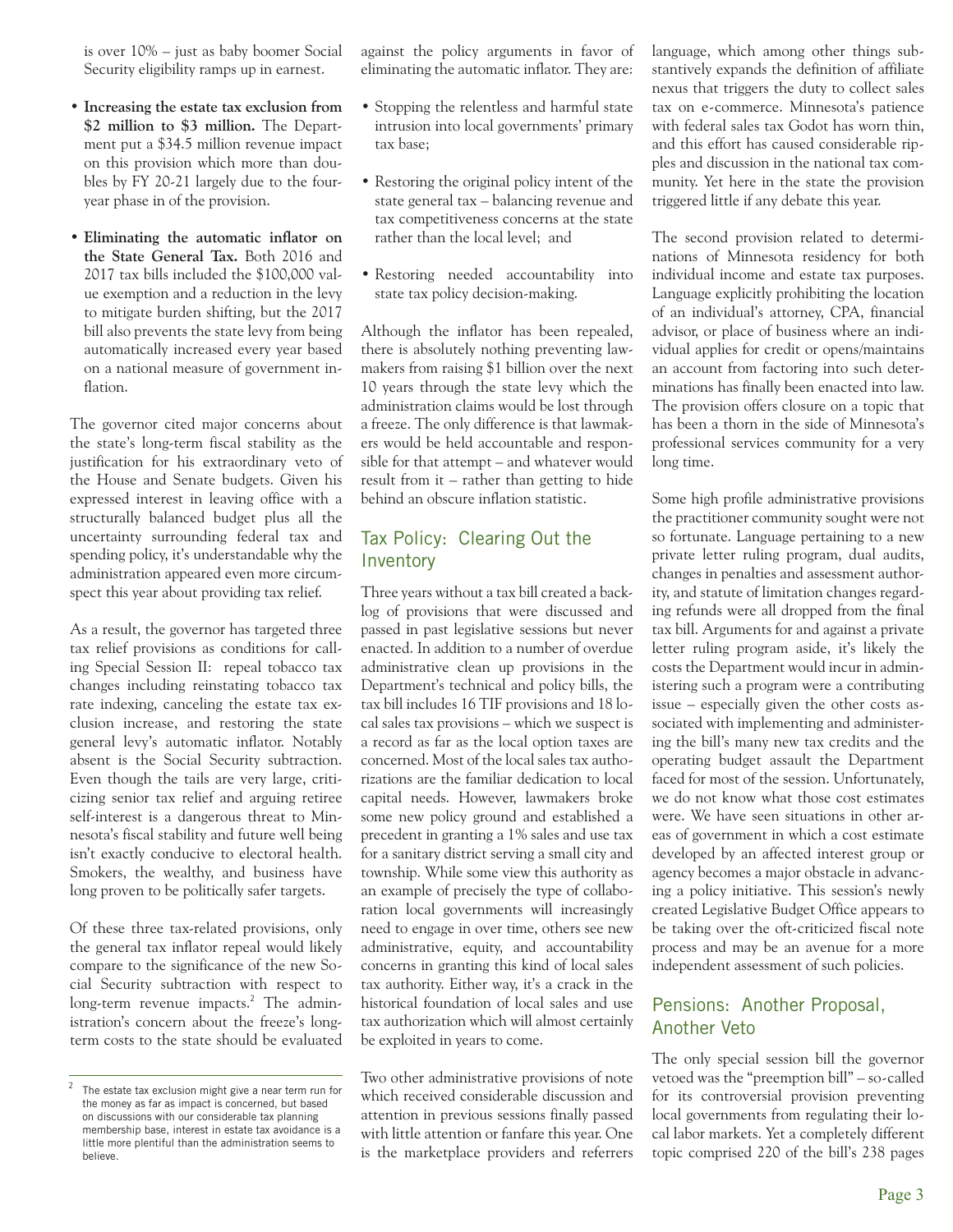is over 10% – just as baby boomer Social Security eligibility ramps up in earnest.

- **Increasing the estate tax exclusion from \$2 million to \$3 million.** The Department put a \$34.5 million revenue impact on this provision which more than doubles by FY 20-21 largely due to the fouryear phase in of the provision.
- **Eliminating the automatic inflator on the State General Tax.** Both 2016 and 2017 tax bills included the \$100,000 value exemption and a reduction in the levy to mitigate burden shifting, but the 2017 bill also prevents the state levy from being automatically increased every year based on a national measure of government inflation.

The governor cited major concerns about the state's long-term fiscal stability as the justification for his extraordinary veto of the House and Senate budgets. Given his expressed interest in leaving office with a structurally balanced budget plus all the uncertainty surrounding federal tax and spending policy, it's understandable why the administration appeared even more circumspect this year about providing tax relief.

As a result, the governor has targeted three tax relief provisions as conditions for calling Special Session II: repeal tobacco tax changes including reinstating tobacco tax rate indexing, canceling the estate tax exclusion increase, and restoring the state general levy's automatic inflator. Notably absent is the Social Security subtraction. Even though the tails are very large, criticizing senior tax relief and arguing retiree self-interest is a dangerous threat to Minnesota's fiscal stability and future well being isn't exactly conducive to electoral health. Smokers, the wealthy, and business have long proven to be politically safer targets.

Of these three tax-related provisions, only the general tax inflator repeal would likely compare to the significance of the new Social Security subtraction with respect to long-term revenue impacts.<sup>2</sup> The administration's concern about the freeze's longterm costs to the state should be evaluated

against the policy arguments in favor of eliminating the automatic inflator. They are:

- Stopping the relentless and harmful state intrusion into local governments' primary tax base;
- Restoring the original policy intent of the state general tax – balancing revenue and tax competitiveness concerns at the state rather than the local level; and
- Restoring needed accountability into state tax policy decision-making.

Although the inflator has been repealed, there is absolutely nothing preventing lawmakers from raising \$1 billion over the next 10 years through the state levy which the administration claims would be lost through a freeze. The only difference is that lawmakers would be held accountable and responsible for that attempt – and whatever would result from it – rather than getting to hide behind an obscure inflation statistic.

#### Tax Policy: Clearing Out the Inventory

Three years without a tax bill created a backlog of provisions that were discussed and passed in past legislative sessions but never enacted. In addition to a number of overdue administrative clean up provisions in the Department's technical and policy bills, the tax bill includes 16 TIF provisions and 18 local sales tax provisions – which we suspect is a record as far as the local option taxes are concerned. Most of the local sales tax authorizations are the familiar dedication to local capital needs. However, lawmakers broke some new policy ground and established a precedent in granting a 1% sales and use tax for a sanitary district serving a small city and township. While some view this authority as an example of precisely the type of collaboration local governments will increasingly need to engage in over time, others see new administrative, equity, and accountability concerns in granting this kind of local sales tax authority. Either way, it's a crack in the historical foundation of local sales and use tax authorization which will almost certainly be exploited in years to come.

language, which among other things substantively expands the definition of affiliate nexus that triggers the duty to collect sales tax on e-commerce. Minnesota's patience with federal sales tax Godot has worn thin, and this effort has caused considerable ripples and discussion in the national tax community. Yet here in the state the provision triggered little if any debate this year.

The second provision related to determinations of Minnesota residency for both individual income and estate tax purposes. Language explicitly prohibiting the location of an individual's attorney, CPA, financial advisor, or place of business where an individual applies for credit or opens/maintains an account from factoring into such determinations has finally been enacted into law. The provision offers closure on a topic that has been a thorn in the side of Minnesota's professional services community for a very long time.

Some high profile administrative provisions the practitioner community sought were not so fortunate. Language pertaining to a new private letter ruling program, dual audits, changes in penalties and assessment authority, and statute of limitation changes regarding refunds were all dropped from the final tax bill. Arguments for and against a private letter ruling program aside, it's likely the costs the Department would incur in administering such a program were a contributing issue – especially given the other costs associated with implementing and administering the bill's many new tax credits and the operating budget assault the Department faced for most of the session. Unfortunately, we do not know what those cost estimates were. We have seen situations in other areas of government in which a cost estimate developed by an affected interest group or agency becomes a major obstacle in advancing a policy initiative. This session's newly created Legislative Budget Office appears to be taking over the oft-criticized fiscal note process and may be an avenue for a more independent assessment of such policies.

#### Pensions: Another Proposal, Another Veto

The only special session bill the governor vetoed was the "preemption bill" – so-called for its controversial provision preventing local governments from regulating their local labor markets. Yet a completely different topic comprised 220 of the bill's 238 pages

The estate tax exclusion might give a near term run for the money as far as impact is concerned, but based on discussions with our considerable tax planning membership base, interest in estate tax avoidance is a little more plentiful than the administration seems to believe.

Two other administrative provisions of note which received considerable discussion and attention in previous sessions finally passed with little attention or fanfare this year. One is the marketplace providers and referrers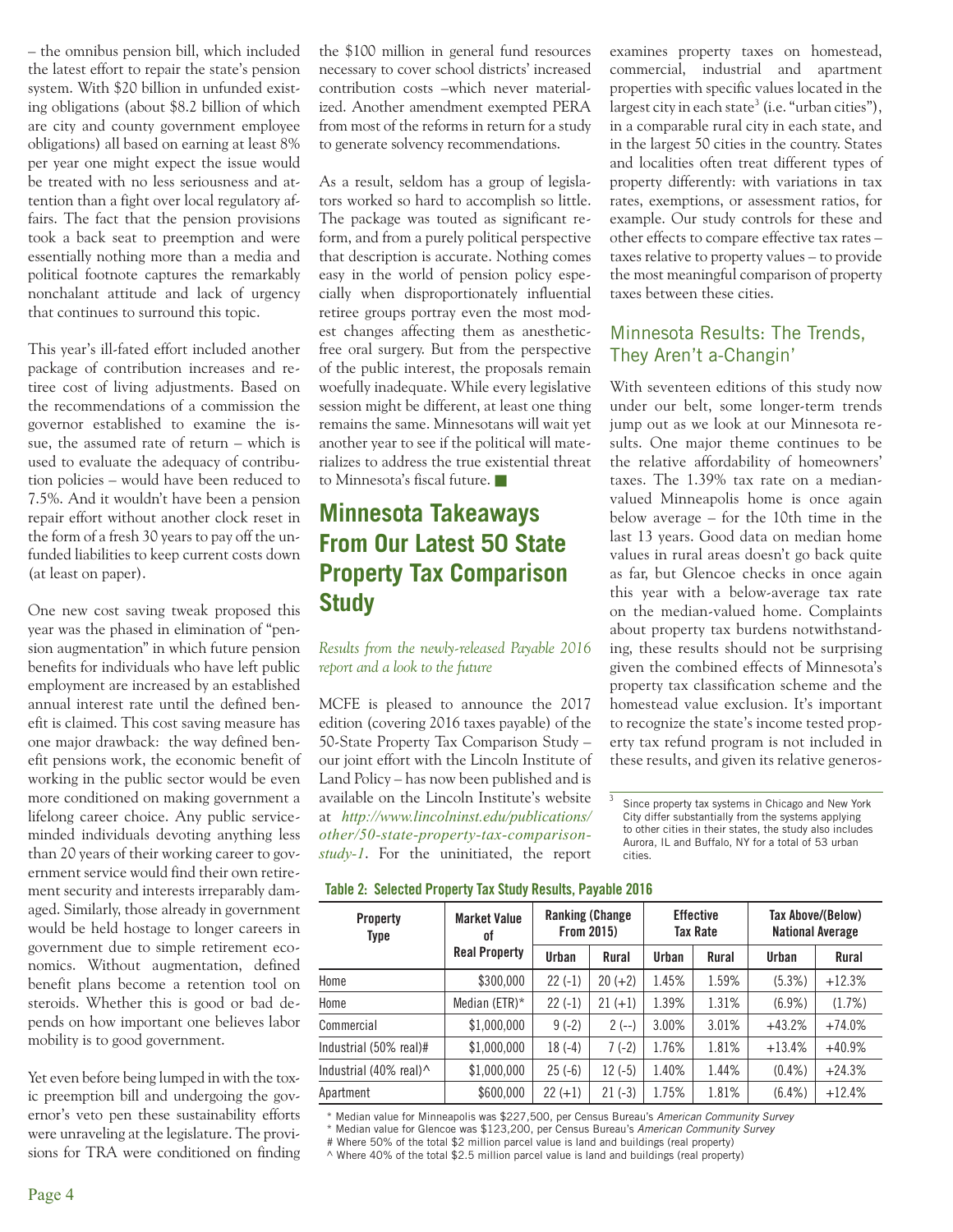– the omnibus pension bill, which included the latest effort to repair the state's pension system. With \$20 billion in unfunded existing obligations (about \$8.2 billion of which are city and county government employee obligations) all based on earning at least 8% per year one might expect the issue would be treated with no less seriousness and attention than a fight over local regulatory affairs. The fact that the pension provisions took a back seat to preemption and were essentially nothing more than a media and political footnote captures the remarkably nonchalant attitude and lack of urgency that continues to surround this topic.

This year's ill-fated effort included another package of contribution increases and retiree cost of living adjustments. Based on the recommendations of a commission the governor established to examine the issue, the assumed rate of return – which is used to evaluate the adequacy of contribution policies – would have been reduced to 7.5%. And it wouldn't have been a pension repair effort without another clock reset in the form of a fresh 30 years to pay off the unfunded liabilities to keep current costs down (at least on paper).

One new cost saving tweak proposed this year was the phased in elimination of "pension augmentation" in which future pension benefits for individuals who have left public employment are increased by an established annual interest rate until the defined benefit is claimed. This cost saving measure has one major drawback: the way defined benefit pensions work, the economic benefit of working in the public sector would be even more conditioned on making government a lifelong career choice. Any public serviceminded individuals devoting anything less than 20 years of their working career to government service would find their own retirement security and interests irreparably damaged. Similarly, those already in government would be held hostage to longer careers in government due to simple retirement economics. Without augmentation, defined benefit plans become a retention tool on steroids. Whether this is good or bad depends on how important one believes labor mobility is to good government.

Yet even before being lumped in with the toxic preemption bill and undergoing the governor's veto pen these sustainability efforts were unraveling at the legislature. The provisions for TRA were conditioned on finding the \$100 million in general fund resources necessary to cover school districts' increased contribution costs –which never materialized. Another amendment exempted PERA from most of the reforms in return for a study to generate solvency recommendations.

As a result, seldom has a group of legislators worked so hard to accomplish so little. The package was touted as significant reform, and from a purely political perspective that description is accurate. Nothing comes easy in the world of pension policy especially when disproportionately influential retiree groups portray even the most modest changes affecting them as anestheticfree oral surgery. But from the perspective of the public interest, the proposals remain woefully inadequate. While every legislative session might be different, at least one thing remains the same. Minnesotans will wait yet another year to see if the political will materializes to address the true existential threat to Minnesota's fiscal future.

# **Minnesota Takeaways From Our Latest 50 State Property Tax Comparison Study**

*Results from the newly-released Payable 2016 report and a look to the future*

MCFE is pleased to announce the 2017 edition (covering 2016 taxes payable) of the 50-State Property Tax Comparison Study – our joint effort with the Lincoln Institute of Land Policy – has now been published and is available on the Lincoln Institute's website at *http://www.lincolninst.edu/publications/ other/50-state-property-tax-comparisonstudy-1*. For the uninitiated, the report examines property taxes on homestead, commercial, industrial and apartment properties with specific values located in the largest city in each state<sup>3</sup> (i.e. "urban cities"), in a comparable rural city in each state, and in the largest 50 cities in the country. States and localities often treat different types of property differently: with variations in tax rates, exemptions, or assessment ratios, for example. Our study controls for these and other effects to compare effective tax rates – taxes relative to property values – to provide the most meaningful comparison of property taxes between these cities.

#### Minnesota Results: The Trends, They Aren't a-Changin'

With seventeen editions of this study now under our belt, some longer-term trends jump out as we look at our Minnesota results. One major theme continues to be the relative affordability of homeowners' taxes. The 1.39% tax rate on a medianvalued Minneapolis home is once again below average – for the 10th time in the last 13 years. Good data on median home values in rural areas doesn't go back quite as far, but Glencoe checks in once again this year with a below-average tax rate on the median-valued home. Complaints about property tax burdens notwithstanding, these results should not be surprising given the combined effects of Minnesota's property tax classification scheme and the homestead value exclusion. It's important to recognize the state's income tested property tax refund program is not included in these results, and given its relative generos-

3 Since property tax systems in Chicago and New York City differ substantially from the systems applying to other cities in their states, the study also includes Aurora, IL and Buffalo, NY for a total of 53 urban cities.

**Table 2: Selected Property Tax Study Results, Payable 2016**

| <b>Property</b><br>Type | <b>Market Value</b><br>оf | <b>Ranking (Change)</b><br><b>From 2015)</b> |           | <b>Effective</b><br>Tax Rate |       | <b>Tax Above/(Below)</b><br><b>National Average</b> |          |
|-------------------------|---------------------------|----------------------------------------------|-----------|------------------------------|-------|-----------------------------------------------------|----------|
|                         | <b>Real Property</b>      | Urban                                        | Rural     | Urban                        | Rural | Urban                                               | Rural    |
| Home                    | \$300,000                 | $22(-1)$                                     | $20 (+2)$ | 1.45%                        | 1.59% | $(5.3\%)$                                           | $+12.3%$ |
| Home                    | Median (ETR) $*$          | $22(-1)$                                     | $21 (+1)$ | 1.39%                        | 1.31% | $(6.9\%)$                                           | (1.7%)   |
| Commercial              | \$1,000,000               | $9(-2)$                                      | $2(-)$    | 3.00%                        | 3.01% | $+43.2%$                                            | $+74.0%$ |
| Industrial (50% real)#  | \$1,000,000               | $18(-4)$                                     | $7(-2)$   | 1.76%                        | 1.81% | $+13.4%$                                            | $+40.9%$ |
| Industrial (40% real)^  | \$1,000,000               | $25(-6)$                                     | $12(-5)$  | 1.40%                        | 1.44% | $(0.4\%)$                                           | $+24.3%$ |
| Apartment               | \$600,000                 | $22 (+1)$                                    | $21(-3)$  | 1.75%                        | 1.81% | $(6.4\%)$                                           | $+12.4%$ |

\* Median value for Minneapolis was \$227,500, per Census Bureau's *American Community Survey*

\* Median value for Glencoe was \$123,200, per Census Bureau's *American Community Survey*

# Where 50% of the total \$2 million parcel value is land and buildings (real property)

^ Where 40% of the total \$2.5 million parcel value is land and buildings (real property)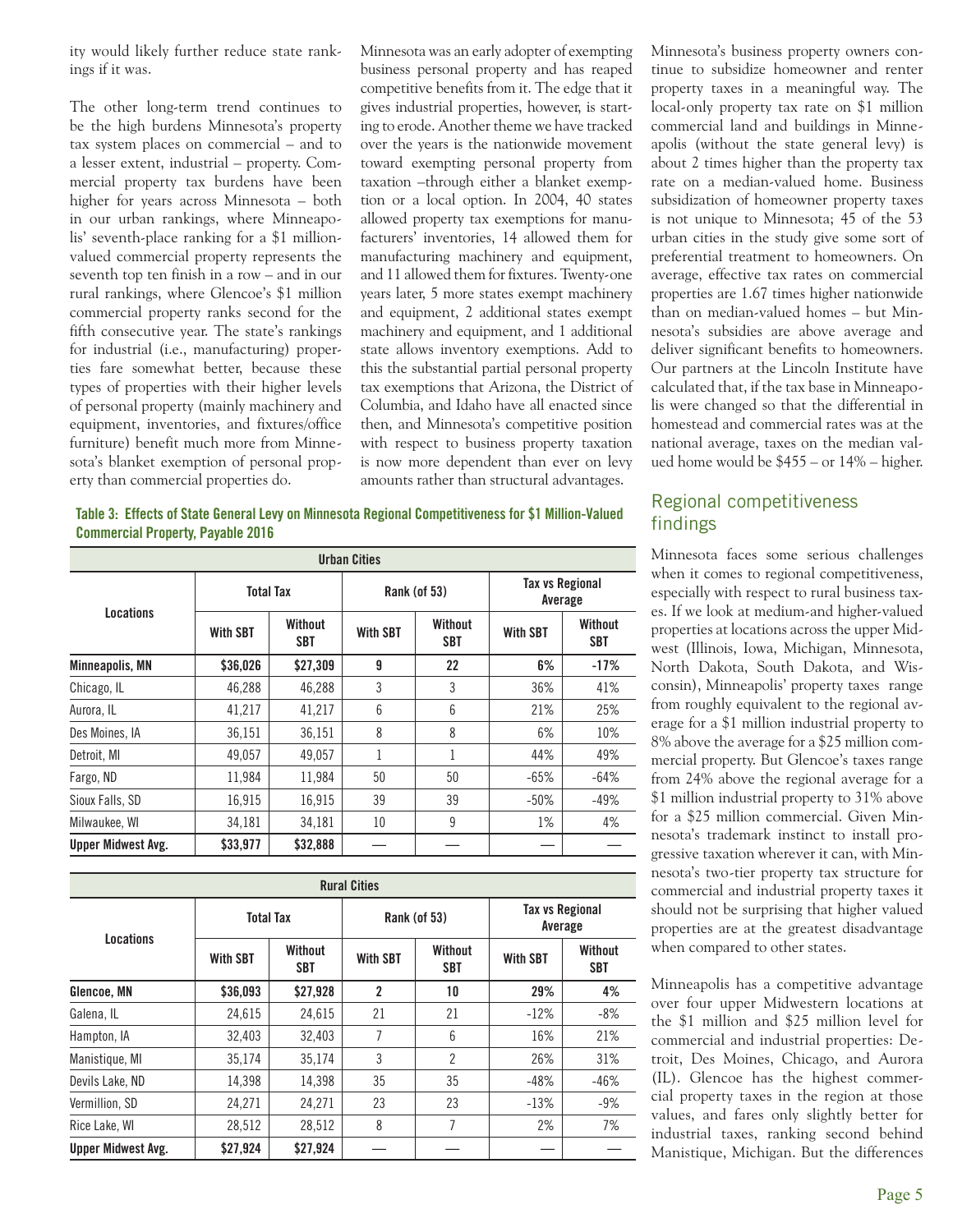ity would likely further reduce state rankings if it was.

The other long-term trend continues to be the high burdens Minnesota's property tax system places on commercial – and to a lesser extent, industrial – property. Commercial property tax burdens have been higher for years across Minnesota – both in our urban rankings, where Minneapolis' seventh-place ranking for a \$1 millionvalued commercial property represents the seventh top ten finish in a row – and in our rural rankings, where Glencoe's \$1 million commercial property ranks second for the fifth consecutive year. The state's rankings for industrial (i.e., manufacturing) properties fare somewhat better, because these types of properties with their higher levels of personal property (mainly machinery and equipment, inventories, and fixtures/office furniture) benefit much more from Minnesota's blanket exemption of personal property than commercial properties do.

Minnesota was an early adopter of exempting business personal property and has reaped competitive benefits from it. The edge that it gives industrial properties, however, is starting to erode. Another theme we have tracked over the years is the nationwide movement toward exempting personal property from taxation –through either a blanket exemption or a local option. In 2004, 40 states allowed property tax exemptions for manufacturers' inventories, 14 allowed them for manufacturing machinery and equipment, and 11 allowed them for fixtures. Twenty-one years later, 5 more states exempt machinery and equipment, 2 additional states exempt machinery and equipment, and 1 additional state allows inventory exemptions. Add to this the substantial partial personal property tax exemptions that Arizona, the District of Columbia, and Idaho have all enacted since then, and Minnesota's competitive position with respect to business property taxation is now more dependent than ever on levy amounts rather than structural advantages.

Minnesota's business property owners continue to subsidize homeowner and renter property taxes in a meaningful way. The local-only property tax rate on \$1 million commercial land and buildings in Minneapolis (without the state general levy) is about 2 times higher than the property tax rate on a median-valued home. Business subsidization of homeowner property taxes is not unique to Minnesota; 45 of the 53 urban cities in the study give some sort of preferential treatment to homeowners. On average, effective tax rates on commercial properties are 1.67 times higher nationwide than on median-valued homes – but Minnesota's subsidies are above average and deliver significant benefits to homeowners. Our partners at the Lincoln Institute have calculated that, if the tax base in Minneapolis were changed so that the differential in homestead and commercial rates was at the national average, taxes on the median valued home would be \$455 – or 14% – higher.

#### **Table 3: Effects of State General Levy on Minnesota Regional Competitiveness for \$1 Million-Valued Commercial Property, Payable 2016**

| <b>Urban Cities</b>       |                  |                |                                          |              |                                   |                |  |  |
|---------------------------|------------------|----------------|------------------------------------------|--------------|-----------------------------------|----------------|--|--|
| Locations                 | <b>Total Tax</b> |                |                                          | Rank (of 53) | <b>Tax vs Regional</b><br>Average |                |  |  |
|                           | <b>With SBT</b>  | Without<br>SBT | Without<br><b>With SBT</b><br><b>SBT</b> |              | <b>With SBT</b>                   | Without<br>SBT |  |  |
| Minneapolis, MN           | \$36.026         | \$27,309       | 9                                        | 22           | 6%                                | $-17%$         |  |  |
| Chicago, IL               | 46,288           | 46,288         | 3                                        | 3            | 36%                               | 41%            |  |  |
| Aurora, IL                | 41,217           | 41,217         | 6                                        | 6            | 21%                               | 25%            |  |  |
| Des Moines, IA            | 36,151           | 36,151         | 8                                        | 8            | 6%                                | 10%            |  |  |
| Detroit, MI               | 49,057           | 49.057         | 1                                        | 1            | 44%                               | 49%            |  |  |
| Fargo, ND                 | 11.984           | 11,984         | 50                                       | 50           | $-65%$                            | $-64%$         |  |  |
| Sioux Falls, SD           | 16,915           | 16,915         | 39                                       | 39           | $-50%$                            | $-49%$         |  |  |
| Milwaukee, WI             | 34,181           | 34,181         | 10                                       | 9            | 1%                                | 4%             |  |  |
| <b>Upper Midwest Avg.</b> | \$33,977         | \$32,888       |                                          |              |                                   |                |  |  |

| <b>Rural Cities</b>       |                  |                       |                                          |              |                                   |                       |  |  |
|---------------------------|------------------|-----------------------|------------------------------------------|--------------|-----------------------------------|-----------------------|--|--|
| Locations                 | <b>Total Tax</b> |                       |                                          | Rank (of 53) | <b>Tax vs Regional</b><br>Average |                       |  |  |
|                           | <b>With SBT</b>  | Without<br><b>SBT</b> | Without<br><b>With SBT</b><br><b>SBT</b> |              | <b>With SBT</b>                   | Without<br><b>SBT</b> |  |  |
| Glencoe, MN               | \$36,093         | \$27,928              | $\overline{\mathbf{c}}$                  | 10           | 29%                               | 4%                    |  |  |
| Galena, IL                | 24,615           | 24.615                | 21                                       | 21           | $-12%$                            | $-8%$                 |  |  |
| Hampton, IA               | 32.403           | 32.403                | 7                                        | 6            | 16%                               | 21%                   |  |  |
| Manistique, MI            | 35.174           | 35,174                | 3                                        | 2            | 26%                               | 31%                   |  |  |
| Devils Lake, ND           | 14,398           | 14,398                | 35                                       | 35           | $-48%$                            | $-46%$                |  |  |
| Vermillion, SD            | 24,271           | 24,271                | 23                                       | 23           | $-13%$                            | $-9%$                 |  |  |
| Rice Lake, WI             | 28,512           | 28,512                | 8                                        | 7            | 2%                                | 7%                    |  |  |
| <b>Upper Midwest Avg.</b> | \$27,924         | \$27,924              |                                          |              |                                   |                       |  |  |

#### Regional competitiveness findings

Minnesota faces some serious challenges when it comes to regional competitiveness, especially with respect to rural business taxes. If we look at medium-and higher-valued properties at locations across the upper Midwest (Illinois, Iowa, Michigan, Minnesota, North Dakota, South Dakota, and Wisconsin), Minneapolis' property taxes range from roughly equivalent to the regional average for a \$1 million industrial property to 8% above the average for a \$25 million commercial property. But Glencoe's taxes range from 24% above the regional average for a \$1 million industrial property to 31% above for a \$25 million commercial. Given Minnesota's trademark instinct to install progressive taxation wherever it can, with Minnesota's two-tier property tax structure for commercial and industrial property taxes it should not be surprising that higher valued properties are at the greatest disadvantage when compared to other states.

Minneapolis has a competitive advantage over four upper Midwestern locations at the \$1 million and \$25 million level for commercial and industrial properties: Detroit, Des Moines, Chicago, and Aurora (IL). Glencoe has the highest commercial property taxes in the region at those values, and fares only slightly better for industrial taxes, ranking second behind Manistique, Michigan. But the differences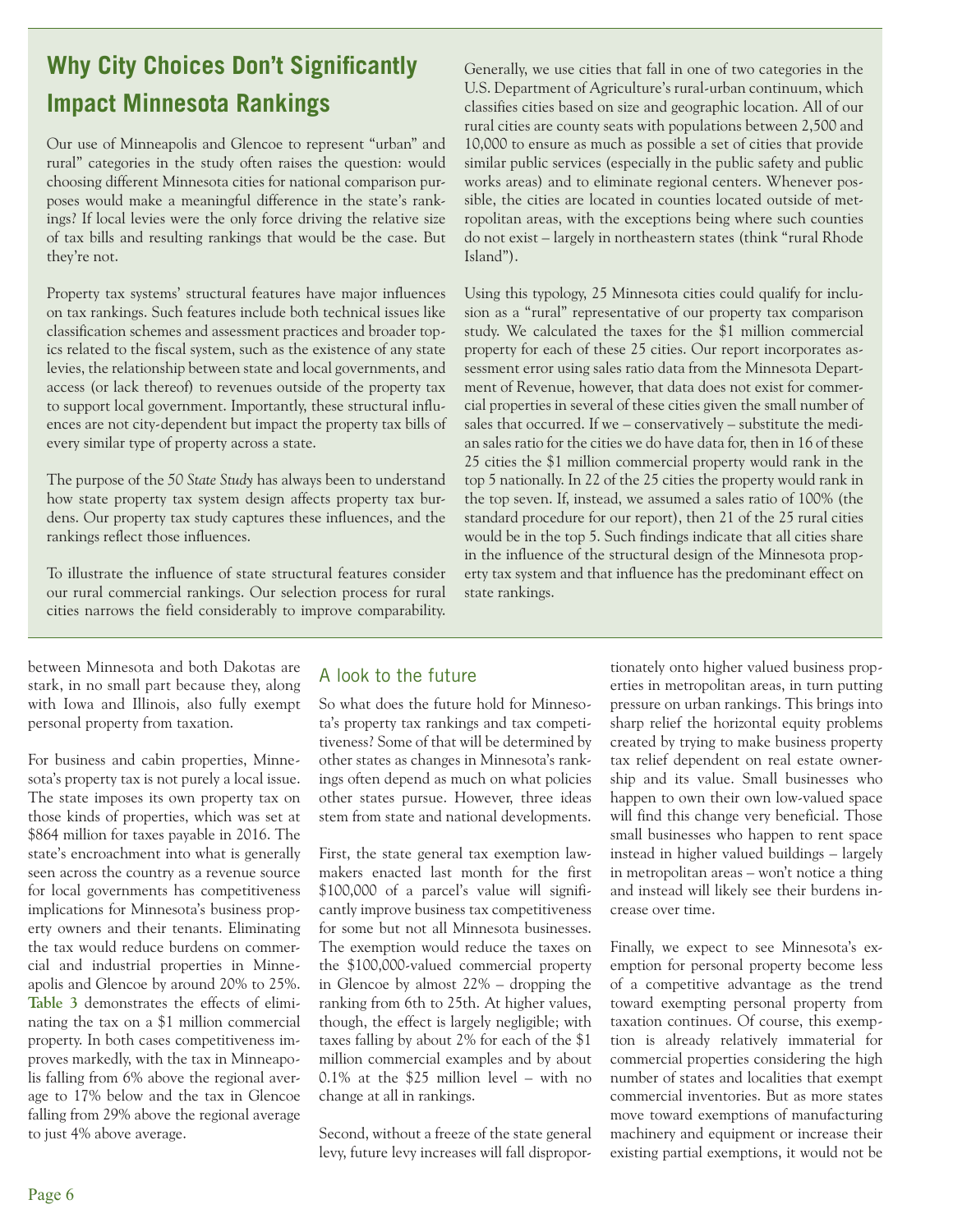# **Why City Choices Don't Significantly Impact Minnesota Rankings**

Our use of Minneapolis and Glencoe to represent "urban" and rural" categories in the study often raises the question: would choosing different Minnesota cities for national comparison purposes would make a meaningful difference in the state's rankings? If local levies were the only force driving the relative size of tax bills and resulting rankings that would be the case. But they're not.

Property tax systems' structural features have major influences on tax rankings. Such features include both technical issues like classification schemes and assessment practices and broader topics related to the fiscal system, such as the existence of any state levies, the relationship between state and local governments, and access (or lack thereof) to revenues outside of the property tax to support local government. Importantly, these structural influences are not city-dependent but impact the property tax bills of every similar type of property across a state.

The purpose of the *50 State Study* has always been to understand how state property tax system design affects property tax burdens. Our property tax study captures these influences, and the rankings reflect those influences.

To illustrate the influence of state structural features consider our rural commercial rankings. Our selection process for rural cities narrows the field considerably to improve comparability.

Generally, we use cities that fall in one of two categories in the U.S. Department of Agriculture's rural-urban continuum, which classifies cities based on size and geographic location. All of our rural cities are county seats with populations between 2,500 and 10,000 to ensure as much as possible a set of cities that provide similar public services (especially in the public safety and public works areas) and to eliminate regional centers. Whenever possible, the cities are located in counties located outside of metropolitan areas, with the exceptions being where such counties do not exist – largely in northeastern states (think "rural Rhode Island").

Using this typology, 25 Minnesota cities could qualify for inclusion as a "rural" representative of our property tax comparison study. We calculated the taxes for the \$1 million commercial property for each of these 25 cities. Our report incorporates assessment error using sales ratio data from the Minnesota Department of Revenue, however, that data does not exist for commercial properties in several of these cities given the small number of sales that occurred. If we – conservatively – substitute the median sales ratio for the cities we do have data for, then in 16 of these 25 cities the \$1 million commercial property would rank in the top 5 nationally. In 22 of the 25 cities the property would rank in the top seven. If, instead, we assumed a sales ratio of 100% (the standard procedure for our report), then 21 of the 25 rural cities would be in the top 5. Such findings indicate that all cities share in the influence of the structural design of the Minnesota property tax system and that influence has the predominant effect on state rankings.

between Minnesota and both Dakotas are stark, in no small part because they, along with Iowa and Illinois, also fully exempt personal property from taxation.

For business and cabin properties, Minnesota's property tax is not purely a local issue. The state imposes its own property tax on those kinds of properties, which was set at \$864 million for taxes payable in 2016. The state's encroachment into what is generally seen across the country as a revenue source for local governments has competitiveness implications for Minnesota's business property owners and their tenants. Eliminating the tax would reduce burdens on commercial and industrial properties in Minneapolis and Glencoe by around 20% to 25%. **Table 3** demonstrates the effects of eliminating the tax on a \$1 million commercial property. In both cases competitiveness improves markedly, with the tax in Minneapolis falling from 6% above the regional average to 17% below and the tax in Glencoe falling from 29% above the regional average to just 4% above average.

#### A look to the future

So what does the future hold for Minnesota's property tax rankings and tax competitiveness? Some of that will be determined by other states as changes in Minnesota's rankings often depend as much on what policies other states pursue. However, three ideas stem from state and national developments.

First, the state general tax exemption lawmakers enacted last month for the first \$100,000 of a parcel's value will significantly improve business tax competitiveness for some but not all Minnesota businesses. The exemption would reduce the taxes on the \$100,000-valued commercial property in Glencoe by almost 22% – dropping the ranking from 6th to 25th. At higher values, though, the effect is largely negligible; with taxes falling by about 2% for each of the \$1 million commercial examples and by about 0.1% at the \$25 million level – with no change at all in rankings.

Second, without a freeze of the state general levy, future levy increases will fall disproportionately onto higher valued business properties in metropolitan areas, in turn putting pressure on urban rankings. This brings into sharp relief the horizontal equity problems created by trying to make business property tax relief dependent on real estate ownership and its value. Small businesses who happen to own their own low-valued space will find this change very beneficial. Those small businesses who happen to rent space instead in higher valued buildings – largely in metropolitan areas – won't notice a thing and instead will likely see their burdens increase over time.

Finally, we expect to see Minnesota's exemption for personal property become less of a competitive advantage as the trend toward exempting personal property from taxation continues. Of course, this exemption is already relatively immaterial for commercial properties considering the high number of states and localities that exempt commercial inventories. But as more states move toward exemptions of manufacturing machinery and equipment or increase their existing partial exemptions, it would not be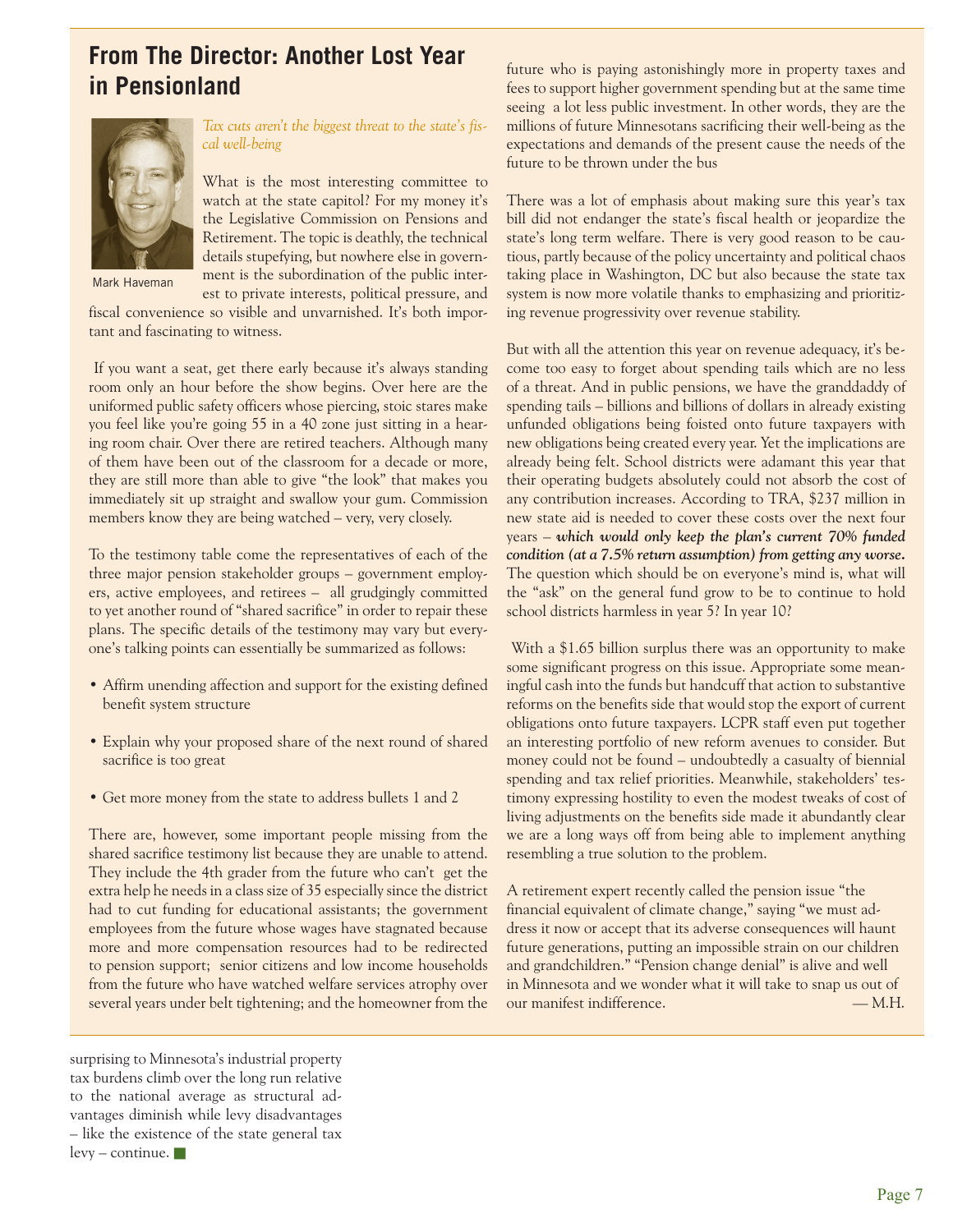# **From The Director: Another Lost Year in Pensionland**



*Tax cuts aren't the biggest threat to the state's fiscal well-being*

What is the most interesting committee to watch at the state capitol? For my money it's the Legislative Commission on Pensions and Retirement. The topic is deathly, the technical details stupefying, but nowhere else in government is the subordination of the public inter-

Mark Haveman

est to private interests, political pressure, and fiscal convenience so visible and unvarnished. It's both important and fascinating to witness.

 If you want a seat, get there early because it's always standing room only an hour before the show begins. Over here are the uniformed public safety officers whose piercing, stoic stares make you feel like you're going 55 in a 40 zone just sitting in a hearing room chair. Over there are retired teachers. Although many of them have been out of the classroom for a decade or more, they are still more than able to give "the look" that makes you immediately sit up straight and swallow your gum. Commission members know they are being watched – very, very closely.

To the testimony table come the representatives of each of the three major pension stakeholder groups – government employers, active employees, and retirees – all grudgingly committed to yet another round of "shared sacrifice" in order to repair these plans. The specific details of the testimony may vary but everyone's talking points can essentially be summarized as follows:

- Affirm unending affection and support for the existing defined benefit system structure
- Explain why your proposed share of the next round of shared sacrifice is too great
- Get more money from the state to address bullets 1 and 2

There are, however, some important people missing from the shared sacrifice testimony list because they are unable to attend. They include the 4th grader from the future who can't get the extra help he needs in a class size of 35 especially since the district had to cut funding for educational assistants; the government employees from the future whose wages have stagnated because more and more compensation resources had to be redirected to pension support; senior citizens and low income households from the future who have watched welfare services atrophy over several years under belt tightening; and the homeowner from the

future who is paying astonishingly more in property taxes and fees to support higher government spending but at the same time seeing a lot less public investment. In other words, they are the millions of future Minnesotans sacrificing their well-being as the expectations and demands of the present cause the needs of the future to be thrown under the bus

There was a lot of emphasis about making sure this year's tax bill did not endanger the state's fiscal health or jeopardize the state's long term welfare. There is very good reason to be cautious, partly because of the policy uncertainty and political chaos taking place in Washington, DC but also because the state tax system is now more volatile thanks to emphasizing and prioritizing revenue progressivity over revenue stability.

But with all the attention this year on revenue adequacy, it's become too easy to forget about spending tails which are no less of a threat. And in public pensions, we have the granddaddy of spending tails – billions and billions of dollars in already existing unfunded obligations being foisted onto future taxpayers with new obligations being created every year. Yet the implications are already being felt. School districts were adamant this year that their operating budgets absolutely could not absorb the cost of any contribution increases. According to TRA, \$237 million in new state aid is needed to cover these costs over the next four years – *which would only keep the plan's current 70% funded condition (at a 7.5% return assumption) from getting any worse.* The question which should be on everyone's mind is, what will the "ask" on the general fund grow to be to continue to hold school districts harmless in year 5? In year 10?

With a \$1.65 billion surplus there was an opportunity to make some significant progress on this issue. Appropriate some meaningful cash into the funds but handcuff that action to substantive reforms on the benefits side that would stop the export of current obligations onto future taxpayers. LCPR staff even put together an interesting portfolio of new reform avenues to consider. But money could not be found – undoubtedly a casualty of biennial spending and tax relief priorities. Meanwhile, stakeholders' testimony expressing hostility to even the modest tweaks of cost of living adjustments on the benefits side made it abundantly clear we are a long ways off from being able to implement anything resembling a true solution to the problem.

A retirement expert recently called the pension issue "the financial equivalent of climate change," saying "we must address it now or accept that its adverse consequences will haunt future generations, putting an impossible strain on our children and grandchildren." "Pension change denial" is alive and well in Minnesota and we wonder what it will take to snap us out of our manifest indifference. — M.H.

surprising to Minnesota's industrial property tax burdens climb over the long run relative to the national average as structural advantages diminish while levy disadvantages – like the existence of the state general tax  $levy$  – continue.  $\blacksquare$